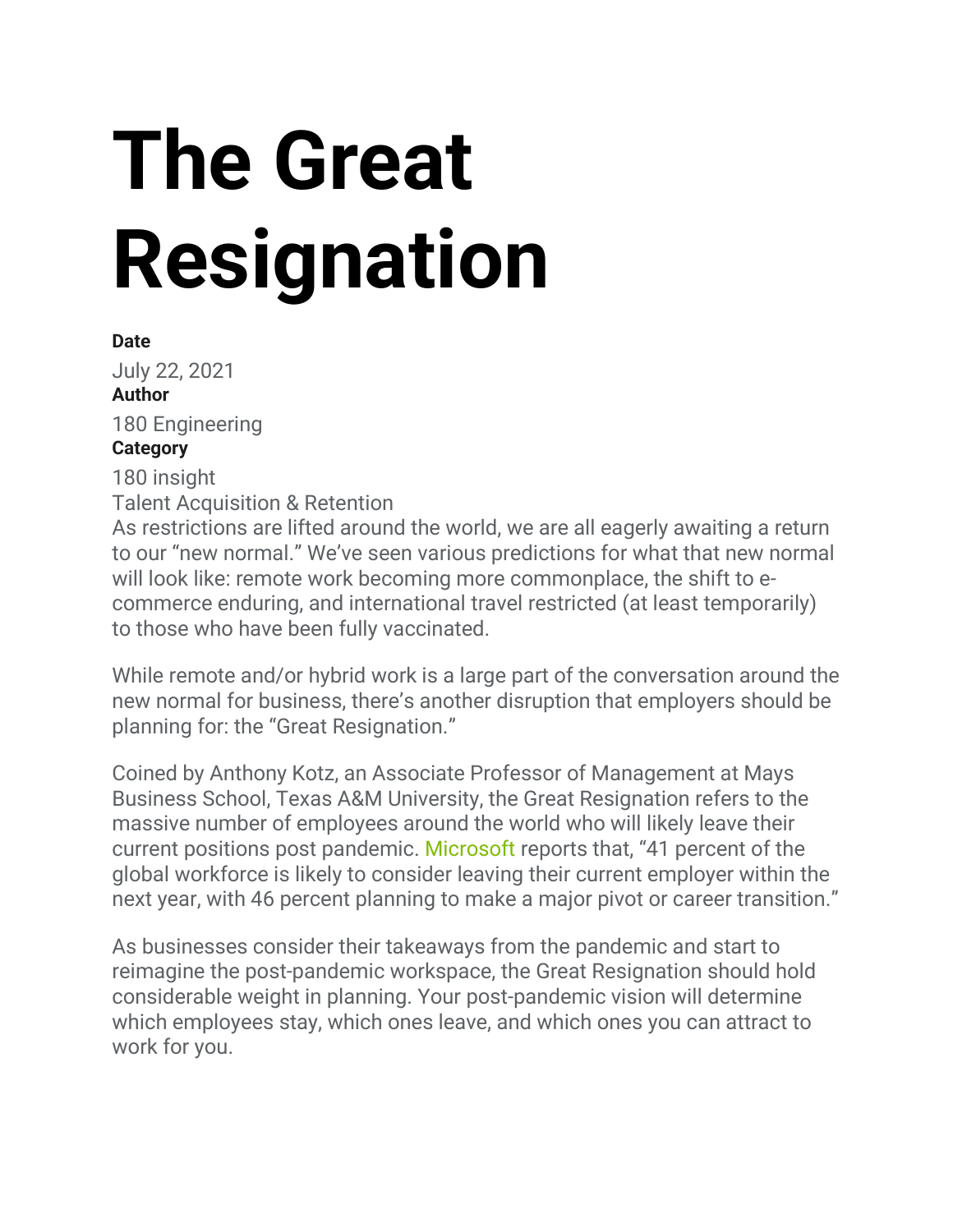# **The Great Resignation**

#### **Date**

July 22, 2021 **Author** 180 Engineering **Category**

[180 insight](https://180engineering.com/category/180-insight/) [Talent Acquisition & Retention](https://180engineering.com/category/180-insight/talent-acquisition-retention/)

As restrictions are lifted around the world, we are all eagerly awaiting a return to our "new normal." We've seen various predictions for what that new normal will look like: remote work becoming more commonplace, the shift to ecommerce enduring, and international travel restricted (at least temporarily) to those who have been fully vaccinated.

While remote and/or hybrid work is a large part of the conversation around the new normal for business, there's another disruption that employers should be planning for: the "Great Resignation."

Coined by Anthony Kotz, an Associate Professor of Management at Mays Business School, Texas A&M University, the Great Resignation refers to the massive number of employees around the world who will likely leave their current positions post pandemic. [Microsoft](https://www.microsoft.com/en-us/worklab/work-trend-index/hybrid-work) reports that, "41 percent of the global workforce is likely to consider leaving their current employer within the next year, with 46 percent planning to make a major pivot or career transition."

As businesses consider their takeaways from the pandemic and start to reimagine the post-pandemic workspace, the Great Resignation should hold considerable weight in planning. Your post-pandemic vision will determine which employees stay, which ones leave, and which ones you can attract to work for you.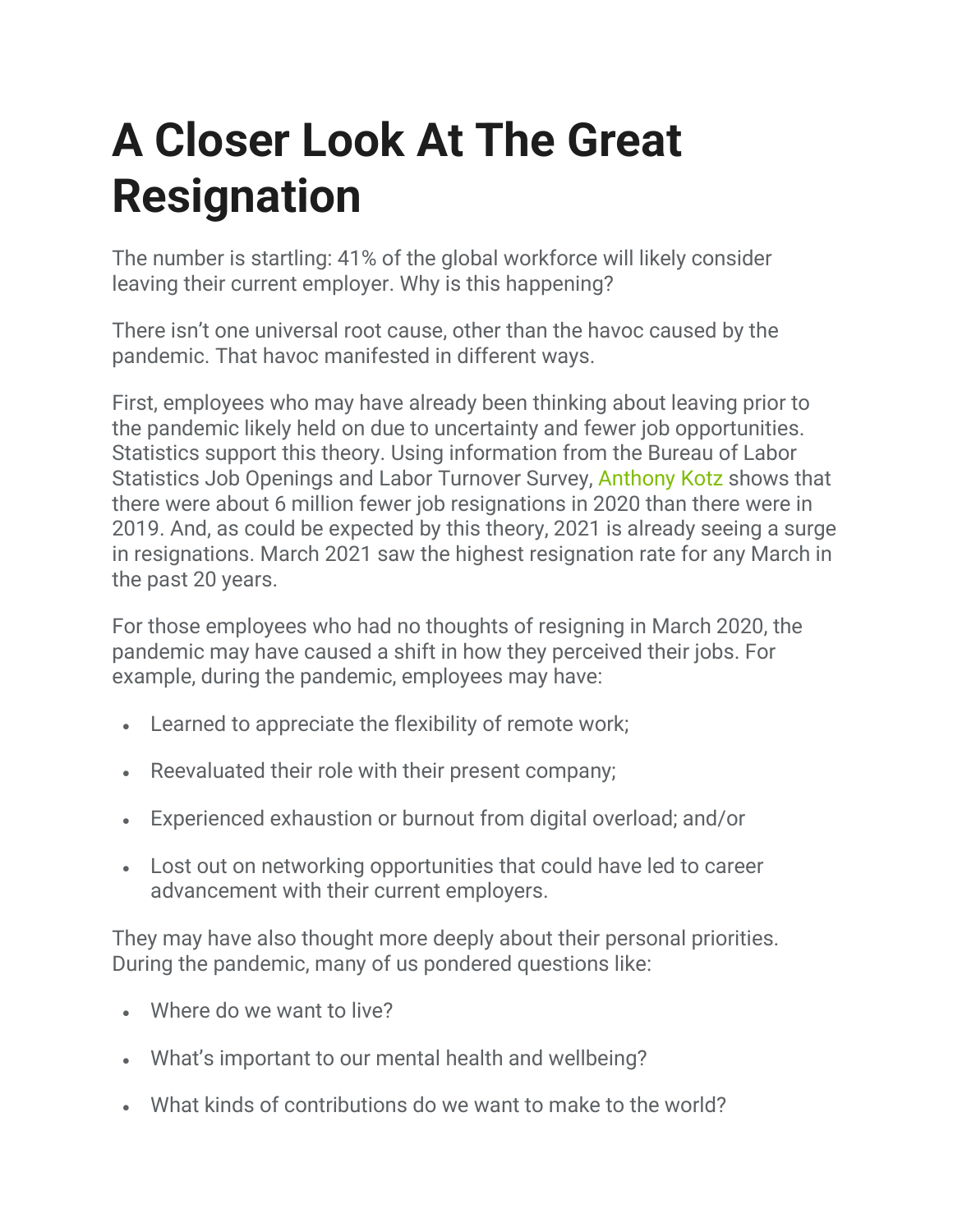# **A Closer Look At The Great Resignation**

The number is startling: 41% of the global workforce will likely consider leaving their current employer. Why is this happening?

There isn't one universal root cause, other than the havoc caused by the pandemic. That havoc manifested in different ways.

First, employees who may have already been thinking about leaving prior to the pandemic likely held on due to uncertainty and fewer job opportunities. Statistics support this theory. Using information from the Bureau of Labor Statistics Job Openings and Labor Turnover Survey, [Anthony Kotz](https://www.nbcnews.com/think/opinion/covid-vaccine-means-return-work-wave-resignations-ncna1269018) shows that there were about 6 million fewer job resignations in 2020 than there were in 2019. And, as could be expected by this theory, 2021 is already seeing a surge in resignations. March 2021 saw the highest resignation rate for any March in the past 20 years.

For those employees who had no thoughts of resigning in March 2020, the pandemic may have caused a shift in how they perceived their jobs. For example, during the pandemic, employees may have:

- Learned to appreciate the flexibility of remote work;
- Reevaluated their role with their present company;
- Experienced exhaustion or burnout from digital overload; and/or
- Lost out on networking opportunities that could have led to career advancement with their current employers.

They may have also thought more deeply about their personal priorities. During the pandemic, many of us pondered questions like:

- Where do we want to live?
- What's important to our mental health and wellbeing?
- What kinds of contributions do we want to make to the world?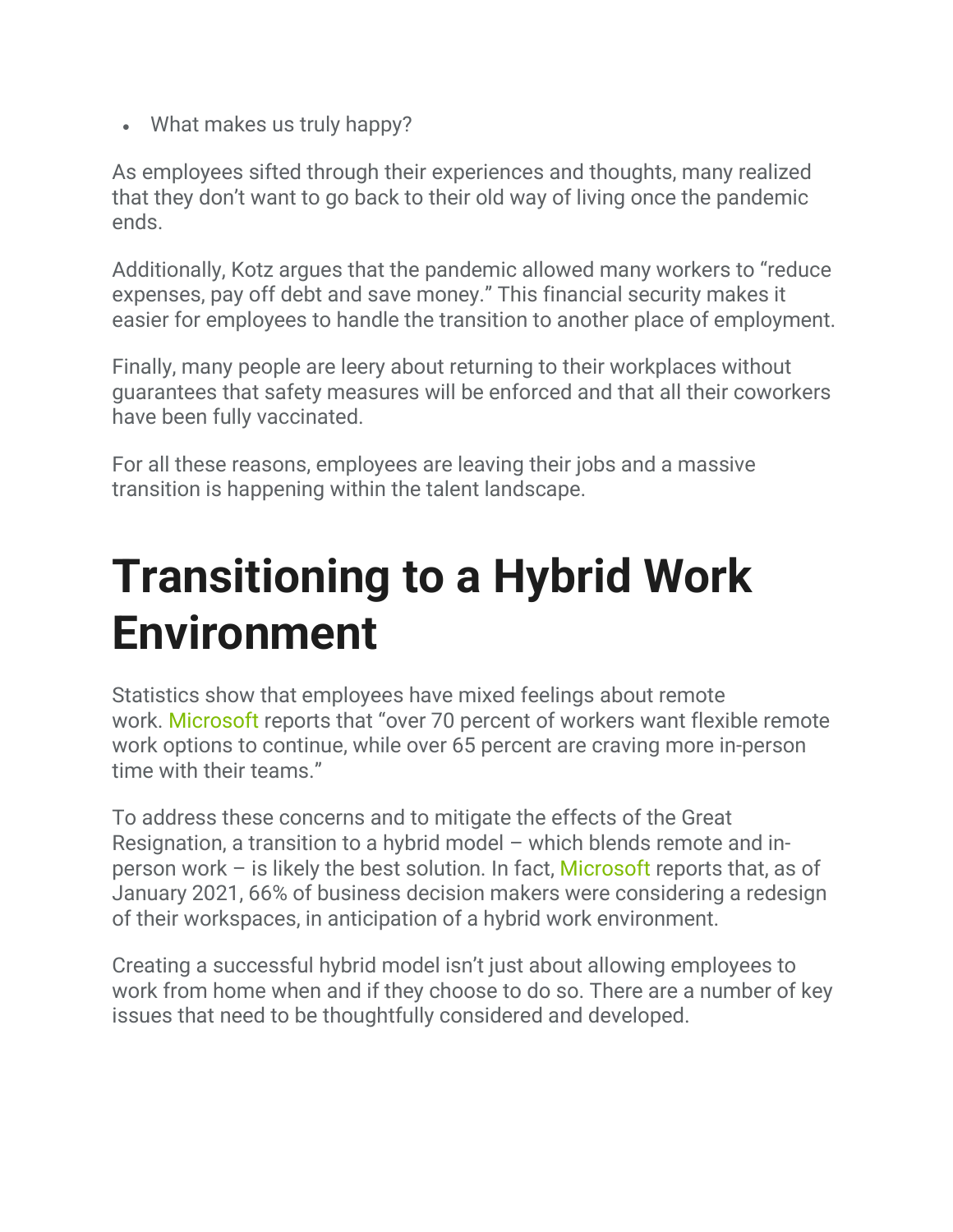• What makes us truly happy?

As employees sifted through their experiences and thoughts, many realized that they don't want to go back to their old way of living once the pandemic ends.

Additionally, Kotz argues that the pandemic allowed many workers to "reduce expenses, pay off debt and save money." This financial security makes it easier for employees to handle the transition to another place of employment.

Finally, many people are leery about returning to their workplaces without guarantees that safety measures will be enforced and that all their coworkers have been fully vaccinated.

For all these reasons, employees are leaving their jobs and a massive transition is happening within the talent landscape.

#### **Transitioning to a Hybrid Work Environment**

Statistics show that employees have mixed feelings about remote work. [Microsoft](https://www.microsoft.com/en-us/worklab/work-trend-index/hybrid-work) reports that "over 70 percent of workers want flexible remote work options to continue, while over 65 percent are craving more in-person time with their teams."

To address these concerns and to mitigate the effects of the Great Resignation, a transition to a hybrid model – which blends remote and inperson work – is likely the best solution. In fact, [Microsoft](https://www.microsoft.com/en-us/worklab/work-trend-index/hybrid-work) reports that, as of January 2021, 66% of business decision makers were considering a redesign of their workspaces, in anticipation of a hybrid work environment.

Creating a successful hybrid model isn't just about allowing employees to work from home when and if they choose to do so. There are a number of key issues that need to be thoughtfully considered and developed.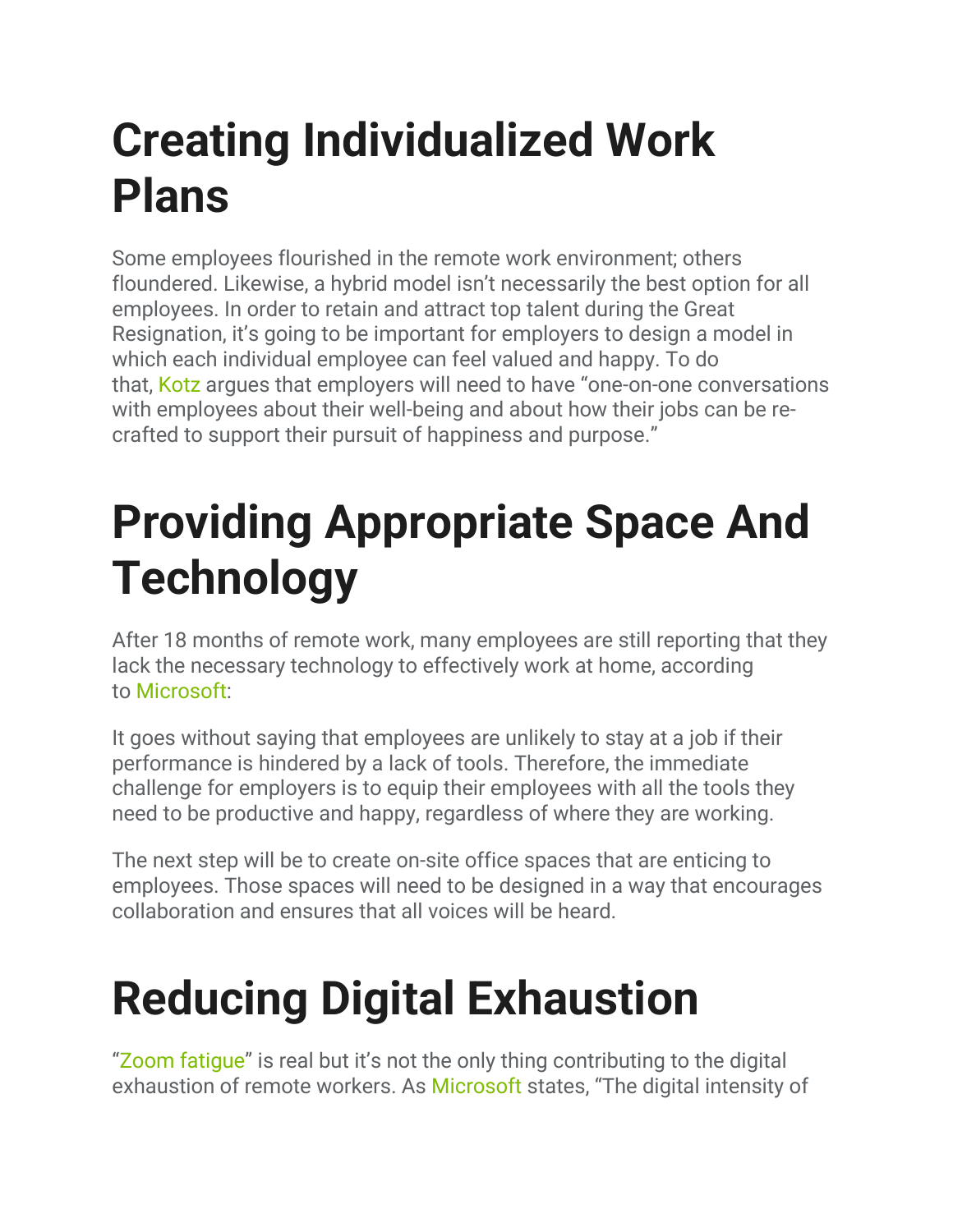# **Creating Individualized Work Plans**

Some employees flourished in the remote work environment; others floundered. Likewise, a hybrid model isn't necessarily the best option for all employees. In order to retain and attract top talent during the Great Resignation, it's going to be important for employers to design a model in which each individual employee can feel valued and happy. To do that, [Kotz](https://www.nbcnews.com/think/opinion/covid-vaccine-means-return-work-wave-resignations-ncna1269018) argues that employers will need to have "one-on-one conversations with employees about their well-being and about how their jobs can be recrafted to support their pursuit of happiness and purpose."

# **Providing Appropriate Space And Technology**

After 18 months of remote work, many employees are still reporting that they lack the necessary technology to effectively work at home, according to [Microsoft:](https://www.microsoft.com/en-us/worklab/work-trend-index/hybrid-work)

It goes without saying that employees are unlikely to stay at a job if their performance is hindered by a lack of tools. Therefore, the immediate challenge for employers is to equip their employees with all the tools they need to be productive and happy, regardless of where they are working.

The next step will be to create on-site office spaces that are enticing to employees. Those spaces will need to be designed in a way that encourages collaboration and ensures that all voices will be heard.

# **Reducing Digital Exhaustion**

"[Zoom fatigue](https://news.stanford.edu/2021/02/23/four-causes-zoom-fatigue-solutions/)" is real but it's not the only thing contributing to the digital exhaustion of remote workers. As [Microsoft](https://www.microsoft.com/en-us/worklab/work-trend-index/hybrid-work) states, "The digital intensity of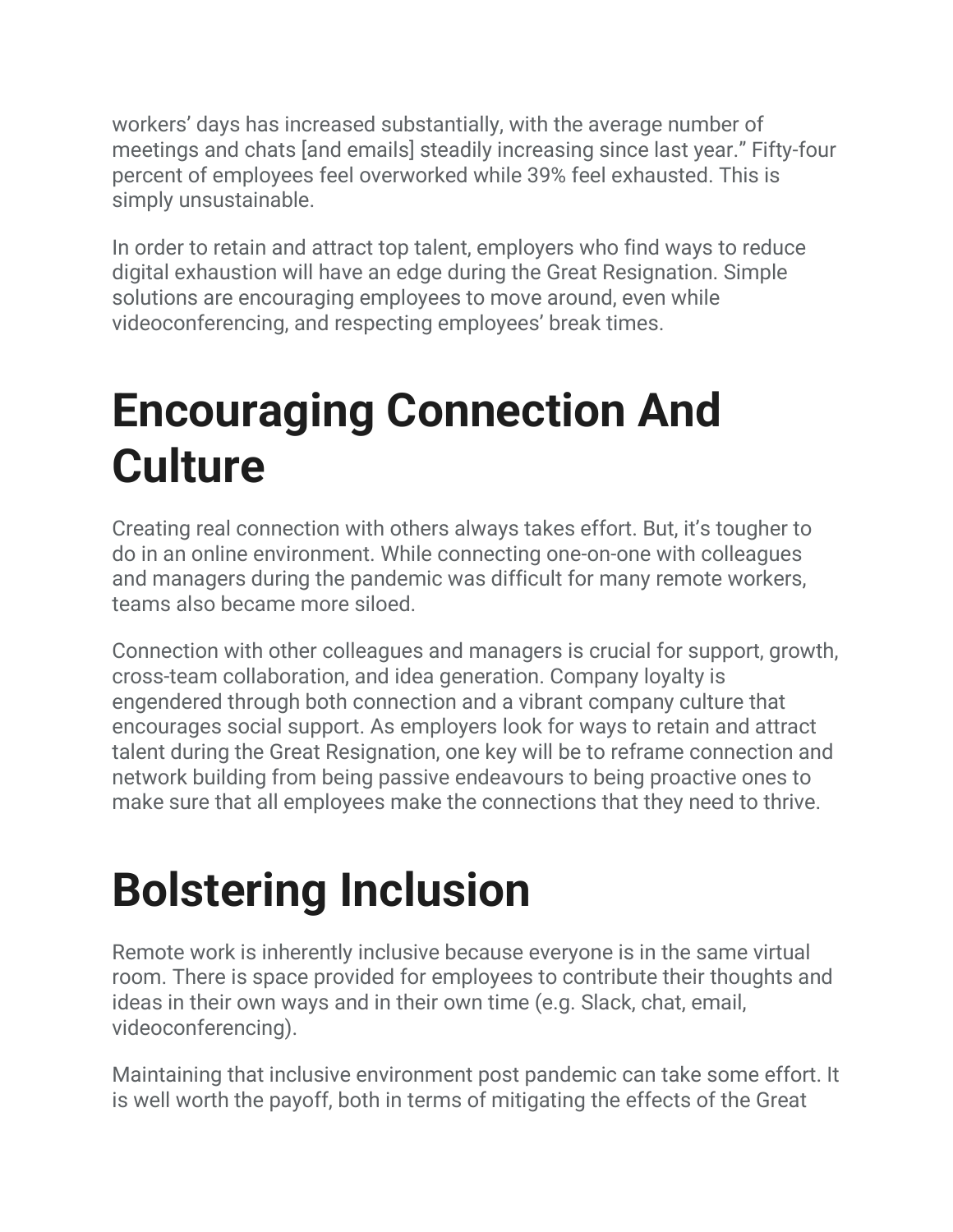workers' days has increased substantially, with the average number of meetings and chats [and emails] steadily increasing since last year." Fifty-four percent of employees feel overworked while 39% feel exhausted. This is simply unsustainable.

In order to retain and attract top talent, employers who find ways to reduce digital exhaustion will have an edge during the Great Resignation. Simple solutions are encouraging employees to move around, even while videoconferencing, and respecting employees' break times.

### **Encouraging Connection And Culture**

Creating real connection with others always takes effort. But, it's tougher to do in an online environment. While connecting one-on-one with colleagues and managers during the pandemic was difficult for many remote workers, teams also became more siloed.

Connection with other colleagues and managers is crucial for support, growth, cross-team collaboration, and idea generation. Company loyalty is engendered through both connection and a vibrant company culture that encourages social support. As employers look for ways to retain and attract talent during the Great Resignation, one key will be to reframe connection and network building from being passive endeavours to being proactive ones to make sure that all employees make the connections that they need to thrive.

# **Bolstering Inclusion**

Remote work is inherently inclusive because everyone is in the same virtual room. There is space provided for employees to contribute their thoughts and ideas in their own ways and in their own time (e.g. Slack, chat, email, videoconferencing).

Maintaining that inclusive environment post pandemic can take some effort. It is well worth the payoff, both in terms of mitigating the effects of the Great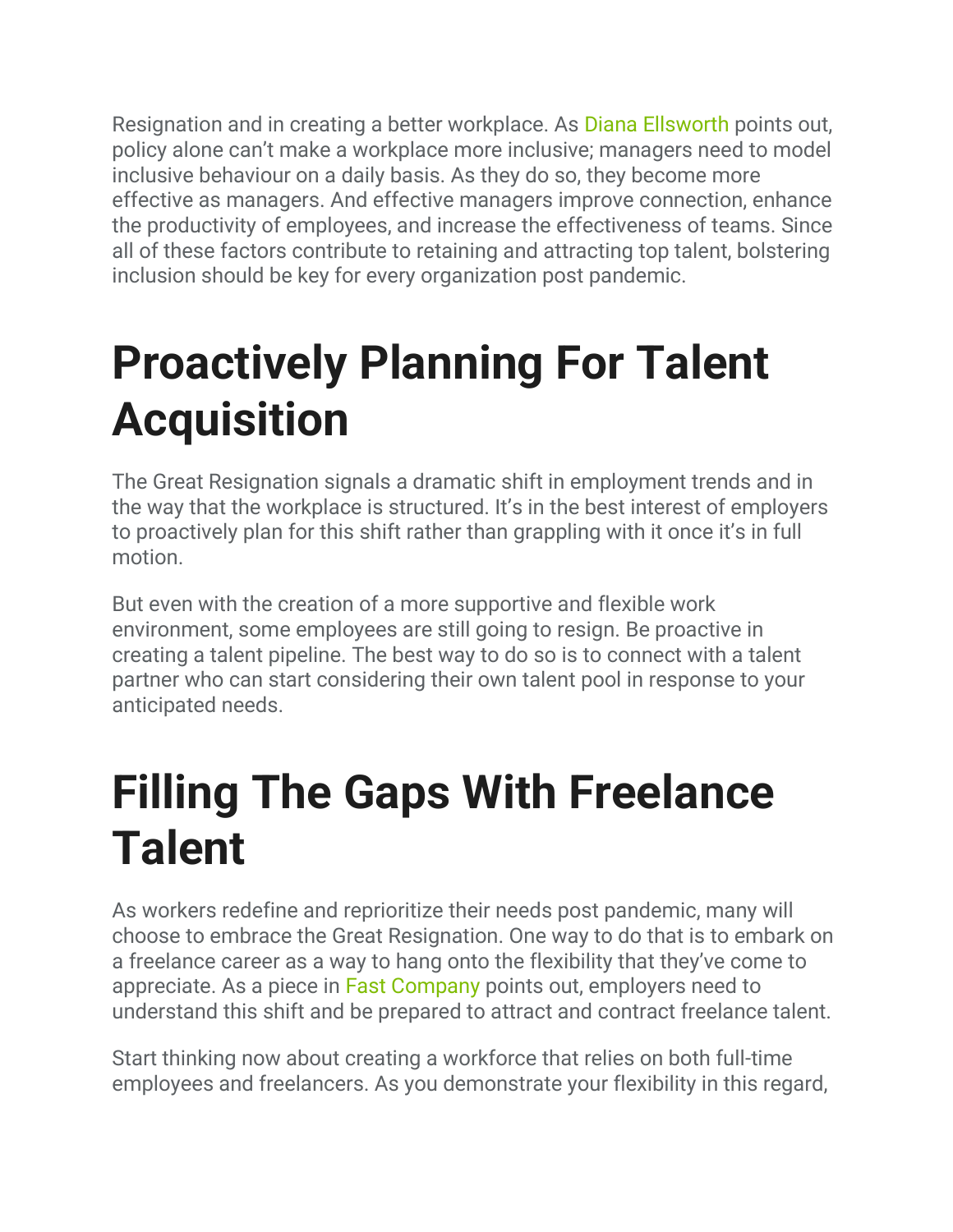Resignation and in creating a better workplace. As [Diana Ellsworth](https://www.mckinsey.com/business-functions/organization/our-insights/sustaining-and-strengthening-inclusion-in-our-new-remote-environment) points out, policy alone can't make a workplace more inclusive; managers need to model inclusive behaviour on a daily basis. As they do so, they become more effective as managers. And effective managers improve connection, enhance the productivity of employees, and increase the effectiveness of teams. Since all of these factors contribute to retaining and attracting top talent, bolstering inclusion should be key for every organization post pandemic.

# **Proactively Planning For Talent Acquisition**

The Great Resignation signals a dramatic shift in employment trends and in the way that the workplace is structured. It's in the best interest of employers to proactively plan for this shift rather than grappling with it once it's in full motion.

But even with the creation of a more supportive and flexible work environment, some employees are still going to resign. Be proactive in creating a talent pipeline. The best way to do so is to connect with a talent partner who can start considering their own talent pool in response to your anticipated needs.

## **Filling The Gaps With Freelance Talent**

As workers redefine and reprioritize their needs post pandemic, many will choose to embrace the Great Resignation. One way to do that is to embark on a freelance career as a way to hang onto the flexibility that they've come to appreciate. As a piece in [Fast Company](https://www.fastcompany.com/90646274/the-great-resignation-is-here-this-is-how-employers-should-prepare) points out, employers need to understand this shift and be prepared to attract and contract freelance talent.

Start thinking now about creating a workforce that relies on both full-time employees and freelancers. As you demonstrate your flexibility in this regard,